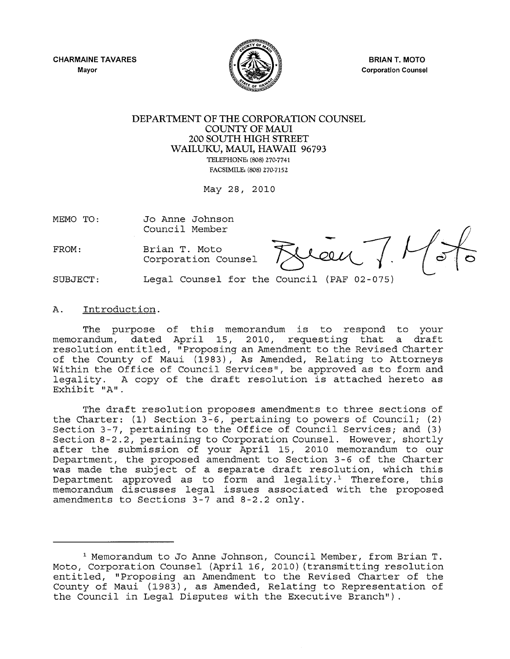

BRIAN T. MOTO Corporation Counsel

#### DEPARTMENT OF THE CORPORATION COUNSEL COUNTY OF MAUl 200 SOUTH HIGH STREET WAILUKU, MAUl, HAWAII 96793 TELEPHONE: (808) 270·7741 FACSIMILE: (808) 270·7152

May 28, 2010

MEMO TO: Jo Anne Johnson Council Member

Brian T. Moto

Council Member<br>Brian T. Moto<br>Corporation Counsel *J.Mau* 

SUBJECT:

FROM:

#### A. Introduction.

The purpose of this memorandum is to respond to your memorandum, dated April IS, 2010, requesting that a draft resolution entitled, "Proposing an Amendment to the Revised Charter of the County of Maui (1983), As Amended, Relating to Attorneys Within the Office of Council Services", be approved as to form and legality. A copy of the draft resolution is attached hereto as Exhibit "A".

Legal Counsel for the Council (PAF 02-075)

The draft resolution proposes amendments to three sections of the Charter: (1) Section 3-6, pertaining to powers of Council; (2) Section 3-7, pertaining to the Office of Council Services; and (3) Section 8-2.2, pertaining to Corporation Counsel. However, shortly after the submission of your April 15, 2010 memorandum to our Department, the proposed amendment to Section 3-6 of the Charter was made the subject of a separate draft resolution, which this was made one babyeed of a beparace drare reberacion, which enro-<br>Department approved as to form and legality.<sup>1</sup> Therefore, this memorandum discusses legal issues associated with the proposed amendments to Sections 3-7 and 8-2.2 only.

<sup>1</sup> Memorandum to Jo Anne Johnson, Council Member, from Brian T. Moto, Corporation Counsel (April 16, 2010) (transmitting resolution entitled, "Proposing an Amendment to the Revised Charter of the County of Maui (1983), as Amended, Relating to Representation of the Council in Legal Disputes with the Executive Branch").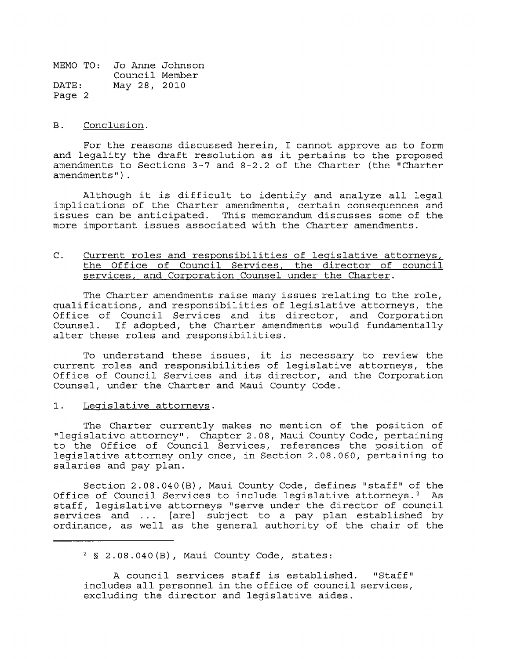#### B. Conclusion.

For the reasons discussed herein, I cannot approve as to form and legality the draft resolution as it pertains to the proposed amendments to Sections 3-7 and 8-2.2 of the Charter (the "Charter amendments") .

Although it is difficult to identify and analyze all legal implications of the Charter amendments, certain consequences and issues can be anticipated. This memorandum discusses some of the more important issues associated with the Charter amendments.

#### C. Current roles and responsibilities of legislative attorneys, the Office of Council Services, the director of council services, and Corporation Counsel under the Charter.

The Charter amendments raise many issues relating to the role, qualifications, and responsibilities of legislative attorneys, the Office of Council Services and its director, and Corporation<br>Counsel. If adopted, the Charter amendments would fundamentally If adopted, the Charter amendments would fundamentally alter these roles and responsibilities.

To understand these issues, it is necessary to review the current roles and responsibilities of legislative attorneys, the Office of Council Services and its director, and the Corporation Counsel, under the Charter and Maui County Code.

1. Legislative attorneys.

The Charter currently makes no mention of the position of "legislative attorney". Chapter 2.08, Maui County Code, pertaining to the Office of Council Services, references the position of legislative attorney only once, in Section 2.08.060, pertaining to salaries and pay plan.

Section 2.08.040(B), Maui County Code, defines "staff" of the Office of Council Services to include leqislative attorneys.<sup>2</sup> As staff, legislative attorneys "serve under the director of council services and ... [are] subject to a pay plan established by ordinance, as well as the general authority of the chair of the

<sup>2 § 2.08.040(</sup>B), Maui County Code, states:

A council services staff is established. "Staff" includes all personnel in the office of council services, excluding the director and legislative aides.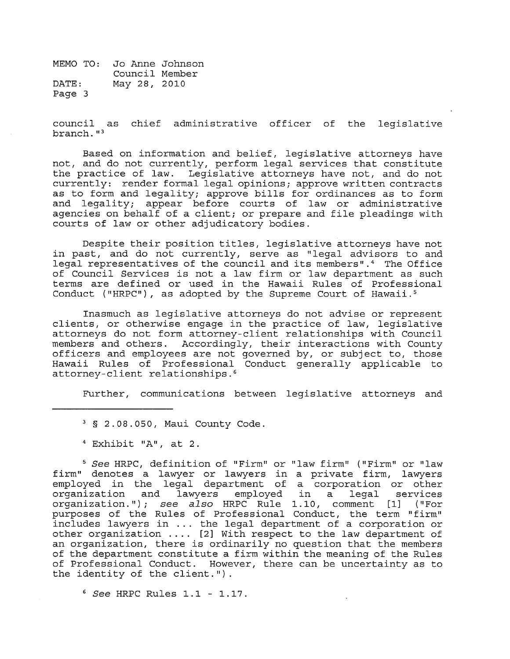council as chief administrative officer of the legislative branch. "3

Based on information and belief, legislative attorneys have not, and do not currently, perform legal services that constitute the practice of law. Legislative attorneys have not, and do not currently: render formal legal opinions; approve written contracts as to form and legality; approve bills for ordinances as to form and legality; appear before courts of law or administrative agencies on behalf of a client; or prepare and file pleadings with courts of law or other adjudicatory bodies.

Despite their position titles, legislative attorneys have not in past, and do not currently, serve as "legal advisors to and legal representatives of the council and its members".<sup>4</sup> The Office of Council Services is not a law firm or law department as such terms are defined or used in the Hawaii Rules of Professional Conduct ("HRPC"), as adopted by the Supreme Court of Hawaii. <sup>5</sup>

Inasmuch as legislative attorneys do not advise or represent clients, or otherwise engage in the practice of law, legislative attorneys do not form attorney-client relationships with Council members and others. Accordingly, their interactions with County officers and employees are not governed by, or subject to, those Hawaii Rules of Professional Conduct generally applicable to attorney-client relationships.6

Further, communications between legislative attorneys and

<sup>5</sup>See HRPC, definition of "Firm" or "law firm" ("Firm" or "law firm" denotes a lawyer or lawyers in a private firm, lawyers employed in the legal department of a corporation or other organization and lawyers employed in a legal services organization and lawyers employed in a legal services<br>organization."); see also HRPC Rule 1.10, comment [1] ("For purposes of the Rules of Professional Conduct, the term "firm" includes lawyers in ... the legal department of a corporation or other organization .... [2] With respect to the law department of an organization, there is ordinarily no question that the members of the department constitute a firm within the meaning of the Rules of Professional Conduct. However, there can be uncertainty as to the identity of the client.").

*<sup>6</sup>*See HRPC Rules 1.1 - 1.17.

<sup>3 § 2.08.050,</sup> Maui County Code.

<sup>4</sup> Exhibit "A", at 2.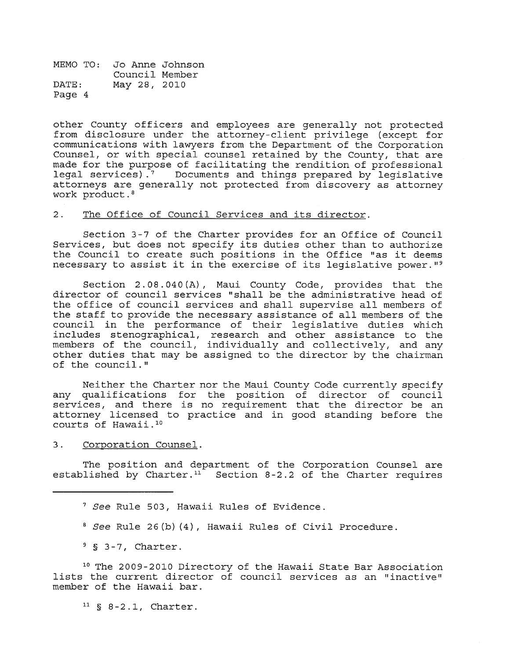other County officers and employees are generally not protected from disclosure under the attorney-client privilege (except for communications with lawyers from the Department of the Corporation Counsel, or with special counsel retained by the County, that are made for the purpose of facilitating the rendition of professional<br>legal services).<sup>7</sup> Documents and things prepared by legislative Documents and things prepared by legislative attorneys are generally not protected from discovery as attorney work product. 8

#### 2. The Office of Council Services and its director.

Section 3-7 of the Charter provides for an Office of Council Services, but does not specify its duties other than to authorize the Council to create such positions in the Office "as it deems necessary to assist it in the exercise of its legislative power. "9

Section 2.08.040 (A), Maui County Code, provides that the director of council services "shall be the administrative head of the office of council services and shall supervise all members of the staff to provide the necessary assistance of all members of the council in the performance of their legislative duties which includes stenographical, research and other assistance to the members of the council, individually and collectively, and any other duties that may be assigned to the director by the chairman of the council."

Neither the Charter nor the Maui County Code currently specify any qualifications for the position of director of council any quarrite actions for the position of director of council attorney licensed to practice and in good standing before the courts of Hawaii. 10

3. Corporation Counsel.

The position and department of the Corporation Counsel are established by Charter.<sup>11</sup> Section 8-2.2 of the Charter requires

- 7 *See* Rule 503, Hawaii Rules of Evidence.
- *8 See* Rule 26(b) (4), Hawaii Rules of Civil Procedure.
- $9 \text{ S } 3-7$ , Charter.

10 The 2009-2010 Directory of the Hawaii State Bar Association lists the current director of council services as an "inactive" member of the Hawaii bar.

 $11 \S 8-2.1$ , Charter.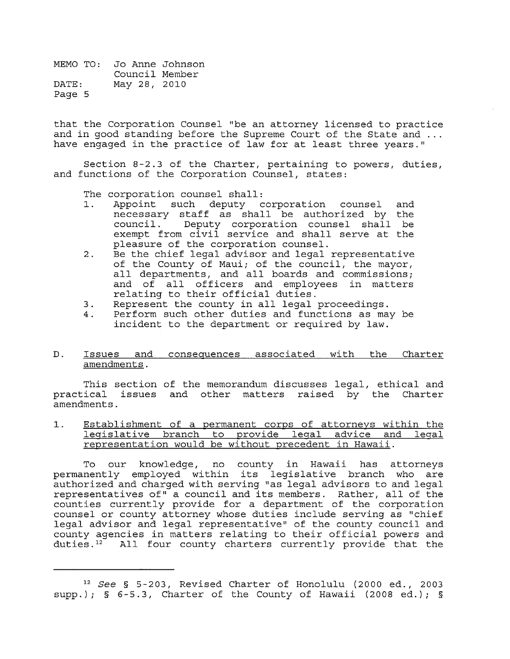that the Corporation Counsel "be an attorney licensed to practice and in good standing before the Supreme Court of the State and ... have engaged in the practice of law for at least three years."

Section 8-2.3 of the Charter, pertaining to powers, duties, and functions of the Corporation Counsel, states:

The corporation counsel shall:<br>1. Appoint such deputy c

- 1. Appoint such deputy corporation counsel and necessary staff as shall be authorized by the council. Deputy corporation counsel shall be exempt from civil service and shall serve at the pleasure of the corporation counsel.
- 2. Be the chief legal advisor and legal representative of the County of Maui; of the council, the mayor, all departments, and all boards and commissions; and of all officers and employees in matters relating to their official duties.
- 3. Represent the county in all legal proceedings.
- 4. Perform such other duties and functions as may be incident to the department or required by law.

#### D. Issues and consequences associated with the Charter amendments.

This section of the memorandum discusses legal, ethical and practical issues and other matters raised by the Charter amendments.

1. Establishment of a permanent corps of attorneys within the legislative branch to provide leqal advice and legal representation would be without precedent in Hawaii.

To our knowledge, no county in Hawaii has attorneys permanently employed within its legislative branch who are authorized and charged with serving "as legal advisors to and legal representatives of" a council and its members. Rather, all of the counties currently provide for a department of the corporation counsel currencry provise for a department of the corporation legal advisor and legal representative" of the county council and county agencies in matters relating to their official powers and duties.<sup>12</sup> All four county charters currently provide that the

<sup>12</sup>*See* § 5-203, Revised Charter of Honolulu (2000 ed., 2003 supp.); § 6-5.3, Charter of the County of Hawaii (2008 ed.); §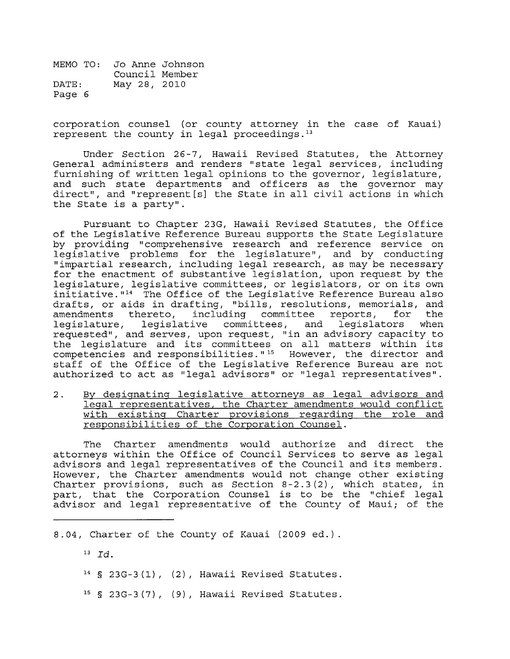corporation counsel (or county attorney in the case of Kauai) represent the county in legal proceedings. $13$ 

Under Section 26-7, Hawaii Revised Statutes, the Attorney General administers and renders "state legal services, including furnishing of written legal opinions to the governor, legislature, and such state departments and officers as the governor may direct", and "represent  $[s]$  the State in all civil actions in which the State is a party".

Pursuant to Chapter 23G, Hawaii Revised Statutes, the Office of the Legislative Reference Bureau supports the State Legislature by providing "comprehensive research and reference service on legislative problems for the legislature" *1* and by conducting "impartial research, including legal research, as may be necessary for the enactment of substantive legislation, upon request by the legislature, legislative committees, or legislators, or on its own  $inititative.  $14$  The Office of the Legislative Reference Bureau also$ drafts, or aids in drafting, "bills, resolutions, memorials, and<br>amendments thereto, including committee reports, for the including committee reports, for the<br>ive committees, and legislators when: legislature, legislative committees, and legislators requested" *1* and serves *1* upon request *1* "in an advisory capacity to the legislature and its committees on all matters within its competencies and responsibilities." $15$  However, the director and staff of the Office of the Legislative Reference Bureau are not authorized to act as "legal advisors" or "legal representatives".

2. By designating legislative attorneys as legal advisors and legal representatives, the Charter amendments would conflict with existing Charter provisions regarding the role and responsibilities of the Corporation Counsel.

The Charter amendments would authorize and direct the attorneys within the Office of Council Services to serve as legal advisors and legal representatives of the Council and its members. However, the Charter amendments would not change other existing Charter provisions, such as Section 8-2.3(2), which states, in part, that the Corporation Counsel is to be the "chief legal advisor and legal representative of the County of Maui; of the

*8.041* Charter of the County of Kauai (2009 ed.).

 $^{13}$   $Id.$ 

- 14 § *23G-3* (1) *1* (2) *1* Hawaii Revised Statutes.
- 15 § *23G-* 3 (7) *1* (9) *1* Hawaii Revised Statutes.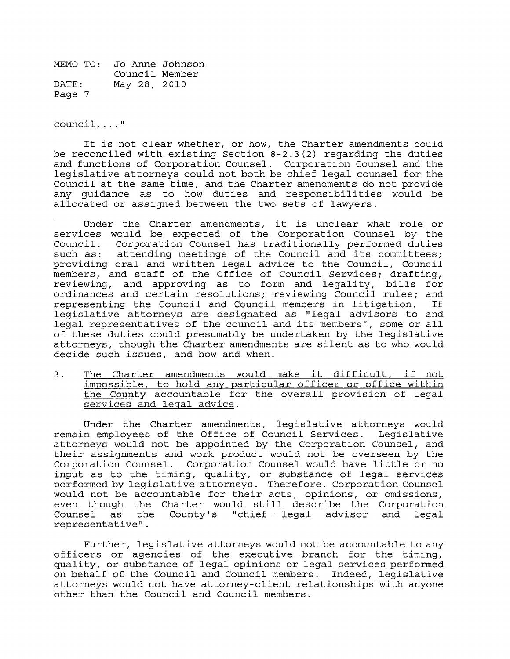council, ... "

It is not clear whether, or how, the Charter amendments could be reconciled with existing Section 8-2.3(2) regarding the duties and functions of Corporation Counsel. Corporation Counsel and the legislative attorneys could not both be chief legal counsel for the Council at the same time, and the Charter amendments do not provide any guidance as to how duties and responsibilities would be allocated or assigned between the two sets of lawyers.

Under the Charter amendments, it is unclear what role or services would be expected of the Corporation Counsel by the Council. Corporation Counsel has traditionally performed duties such as: attending meetings of the Council and its committees; providing oral and written legal advice to the Council, Council members, and staff of the Office of Council Services; drafting, reviewing, and approving as to form and legality, bills for ordinances and certain resolutions; reviewing Council rules; and<br>representing the Council and Council members in litigation. If representing the Council and Council members in litigation. legislative attorneys are designated as "legal advisors to and legal representatives of the council and its members", some or all of these duties could presumably be undertaken by the legislative attorneys, though the Charter amendments are silent as to who would decide such issues, and how and when.

3. The Charter amendments would make it difficult, if not impossible, to hold any particular officer or office within the County accountable for the overall provision of legal services and legal advice.

Under the Charter amendments, legislative attorneys would remain employees of the Office of Council Services. Legislative attorneys would not be appointed by the Corporation Counsel, and their assignments and work product would not be overseen by the Corporation Counsel. Corporation Counsel would have little or no input as to the timing, quality, or substance of legal services performed by legislative attorneys. Therefore, Corporation Counsel would not be accountable for their acts, opinions, or omissions, would not be accountable for their acts, opinions, or omissions,<br>even though the Charter would still describe the Corporation even though the Charter would still describe the Corporation<br>Counsel as the County's "chief legal advisor and legal Counsel as the County's "chief legal advisor<br>representative".

Further, legislative attorneys would not be accountable to any officers or agencies of the executive branch for the timing, quality, or substance of legal opinions or legal services performed on behalf of the Council and Council members. Indeed, legislative attorneys would not have attorney-client relationships with anyone other than the Council and Council members.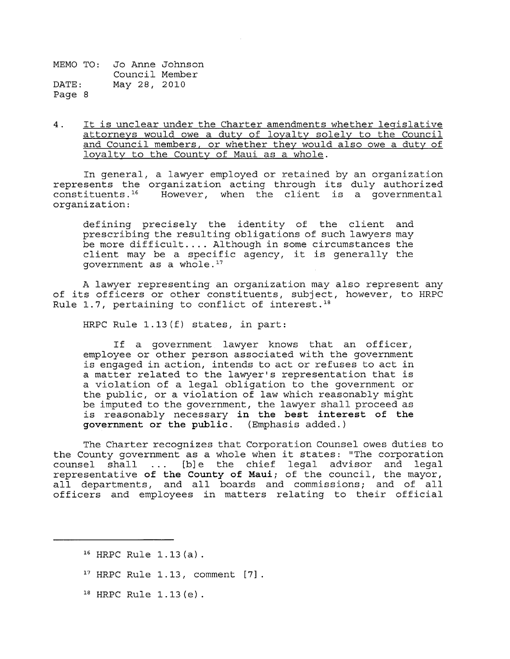4. It is unclear under the Charter amendments whether legislative attorneys would owe a duty of loyalty solely to the Council and Council members, or whether they would also owe a duty of loyalty to the County of Maui as a whole.

In general, a lawyer employed or retained by an organization represents the organization acting through its duly authorized<br>constituents.<sup>16</sup> However, when the client is a governmental However, when the client is a governmental organization:

defining precisely the identity of the client and prescribing the resulting obligations of such lawyers may be more difficult .... Although in some circumstances the client may be a specific agency, it is generally the government as a whole. 17

A lawyer representing an organization may also represent any of its officers or other constituents, subject, however, to HRPC Rule 1.7, pertaining to conflict of interest.<sup>18</sup>

HRPC Rule 1.13(f) states, in part:

If a government lawyer knows that an officer, employee or other person associated with the government is engaged in action, intends to act or refuses to act in a matter related to the lawyer's representation that is a violation of a legal obligation to the government or the public, or a violation of law which reasonably might be imputed to the government, the lawyer shall proceed as is reasonably necessary **in the best interest of the government or the public.** (Emphasis added.)

The Charter recognizes that Corporation Counsel owes duties to the County government as a whole when it states: "The corporation counsel shall ... [b]e the chief legal advisor and legal representative **of the County of** *Mauii* of the council, the mayor, all departments, and all boards and commissions; and of all officers and employees in matters relating to their official

- 17 HRPC Rule 1.13, comment [7].
- $18$  HRPC Rule 1.13 (e).

<sup>16</sup> HRPC Rule 1.13 (a) .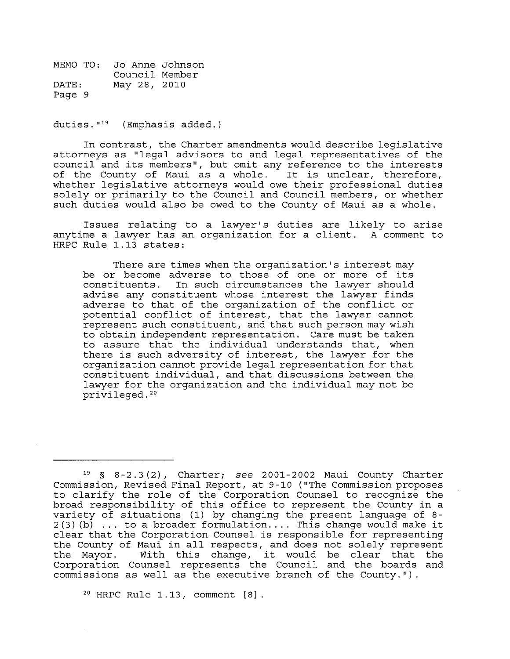duties. $1^{19}$  (Emphasis added.)

In contrast, the Charter amendments would describe legislative attorneys as "legal advisors to and legal representatives of the council and its members", but omit any reference to the interests of the County of Maui as a whole. It is unclear, therefore, whether legislative attorneys would owe their professional duties solely or primarily to the Council and Council members, or whether such duties would also be owed to the County of Maui as a whole.

Issues relating to a lawyer's duties are likely to arise anytime a lawyer has an organization for a client. A comment to HRPC Rule 1.13 states:

There are times when the organization's interest may be or become adverse to those of one or more of its constituents. In such circumstances the lawyer should advise any constituent whose interest the lawyer finds adverse to that of the organization of the conflict or potential conflict of interest, that the lawyer cannot represent such constituent, and that such person may wish to obtain independent representation. Care must be taken to assure that the individual understands that, when there is such adversity of interest, the lawyer for the organization cannot provide legal representation for that constituent individual, and that discussions between the lawyer for the organization and the individual may not be privileged. 20

20 HRPC Rule 1.13, comment [8].

<sup>19 § 8-2.3 (2),</sup> Charter; *see* 2001-2002 Maui County Charter Commission, Revised Final Report, at 9-10 ("The Commission proposes to clarify the role of the Corporation Counsel to recognize the broad responsibility of this office to represent the County in a variety of situations (1) by changing the present language of 8-  $2(3)$  (b) ... to a broader formulation.... This change would make it clear that the Corporation Counsel is responsible for representing the County of Maui in all respects, and does not solely represent<br>the Mayor. With this change, it would be clear that the With this change, it would be clear that the Corporation Counsel represents the Council and the boards and commissions as well as the executive branch of the County.").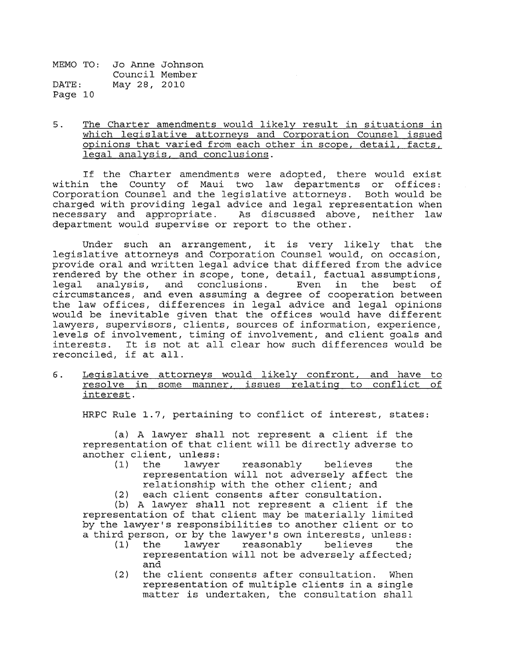5. The Charter amendments would likely result in situations in which legislative attorneys and Corporation Counsel issued opinions that varied from each other in scope, detail, facts, legal analysis, and conclusions.

If the Charter amendments were adopted, there would exist within the County of Maui two law departments or offices: Corporation Counsel and the legislative attorneys. Both would be charged with providing legal advice and legal representation when necessary and appropriate. As discussed above, neither law department would supervise or report to the other.

Under such an arrangement, it is very likely that the legislative attorneys and Corporation Counsel would, on occasion, provide oral and written legal advice that differed from the advice rendered by the other in scope, tone, detail, factual assumptions,<br>legal analysis, and conclusions. Even in the best of legal analysis, and conclusions. circumstances, and even assuming a degree of cooperation between the law offices, differences in legal advice and legal opinions would be inevitable given that the offices would have different lawyers, supervisors, clients, sources of information, experience, levels of involvement, timing of involvement, and client goals and interests. It is not at all clear how such differences would be reconciled, if at all.

6. <u>Legislative attorneys would likely confront, and have to</u> resolve in some manner, issues relating to conflict of interest.

HRPC Rule 1.7, pertaining to conflict of interest, states:

(a) A lawyer shall not represent a client if the representation of that client will be directly adverse to another client, unless:<br>(1) the lawyer

- reasonably believes the representation will not adversely affect the relationship with the other client; and
- (2) each client consents after consultation.

(b) A lawyer shall not represent a client if the representation of that client may be materially limited by the lawyer's responsibilities to another client or to a third person, or by the lawyer's own interests, unless:<br>(1) the lawyer reasonably believes the

- reasonably representation will not be adversely affected; and
- (2) the client consents after consultation. When representation of multiple clients in a single matter is undertaken, the consultation shall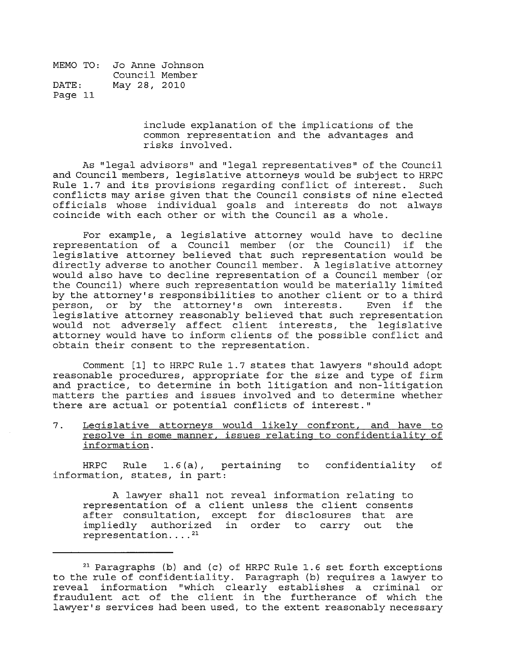> include explanation of the implications of the common representation and the advantages and risks involved.

As "legal advisors" and" legal representatives" of the Council and Council members, legislative attorneys would be subject to HRPC Rule 1.7 and its provisions regarding conflict of interest. Such conflicts may arise given that the Council consists of nine elected officials whose individual goals and interests do not always coincide with each other or with the Council as a whole.

For example, a legislative attorney would have to decline representation of a Council member (or the Council) if the legislative attorney believed that such representation would be directly adverse to another Council member. A legislative attorney would also have to decline representation of a Council member (or the Council) where such representation would be materially limited by the attorney's responsibilities to another client or to a third<br>person, or by the attorney's own interests. Even if the person, or by the attorney's own interests. legislative attorney reasonably believed that such representation would not adversely affect client interests, the legislative attorney would have to inform clients of the possible conflict and obtain their consent to the representation.

Comment [1] to HRPC Rule 1.7 states that lawyers "should adopt reasonable procedures, appropriate for the size and type of firm and practice, to determine in both litigation and non-litigation matters the parties and issues involved and to determine whether there are actual or potential conflicts of interest."

7. Legislative attorneys would likely confront, and have to resolve in some manner, issues relating to confidentiality of information.

HRPC Rule 1.6 (a) , pertaining to confidentiality information, states, in part: of

A lawyer shall not reveal information relating to representation of a client unless the client consents after consultation, except for disclosures that are impliedly authorized in order to carry out the representation....<sup>21</sup>

<sup>21</sup> Paragraphs (b) and (c) of HRPC Rule 1.6 set forth exceptions to the rule of confidentiality. Paragraph (b) requires a lawyer to reveal information "which clearly establishes a criminal or fraudulent act of the client in the furtherance of which the lawyer's services had been used, to the extent reasonably necessary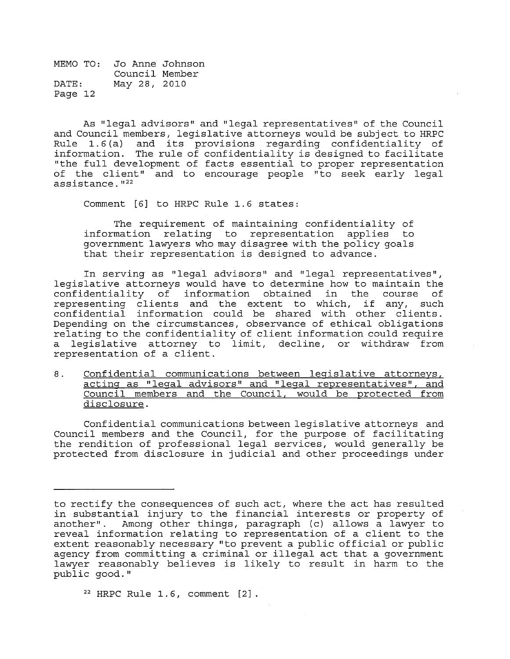As "legal advisors" and " legal representatives" of the Council and Council members, legislative attorneys would be subject to HRPC<br>Rule 1.6(a) and its provisions regarding confidentiality of Rule 1.6(a) and its provisions regarding confidentiality of<br>information. The rule of confidentiality is designed to facilitate The rule of confidentiality is designed to facilitate "the full development of facts essential to proper representation of the client" and to encourage people "to seek early legal  $assistance.$ <sup> $122$ </sup>

Comment [6] to HRPC Rule 1.6 states:

The requirement of maintaining confidentiality of information relating to representation applies to government lawyers who may disagree with the policy goals that their representation is designed to advance.

In serving as "legal advisors" and "legal representatives", legislative attorneys would have to determine how to maintain the confidentiality of information obtained in the course of representing clients and the extent to which, if any, such confidential information could be shared with other clients. Depending on the circumstances, observance of ethical obligations relating to the confidentiality of client information could require a legislative attorney to limit, decline, or withdraw from representation of a client.

8. Confidential communications between legislative attorneys, acting as "legal advisors" and "legal representatives", and Council members and the Council, would be protected from disclosure.

Confidential communications between legislative attorneys and Council members and the Council, for the purpose of facilitating the rendition of professional legal services, would generally be protected from disclosure in judicial and other proceedings under

 $22$  HRPC Rule 1.6, comment  $[2]$ .

to rectify the consequences of such act, where the act has resulted in substantial injury to the financial interests or property of<br>another". Among other things, paragraph (c) allows a lawyer to Among other things, paragraph (c) allows a lawyer to reveal information relating to representation of a client to the extent reasonably necessary "to prevent a public official or public agency from committing a criminal or illegal act that a government lawyer reasonably believes is likely to result in harm to the public good."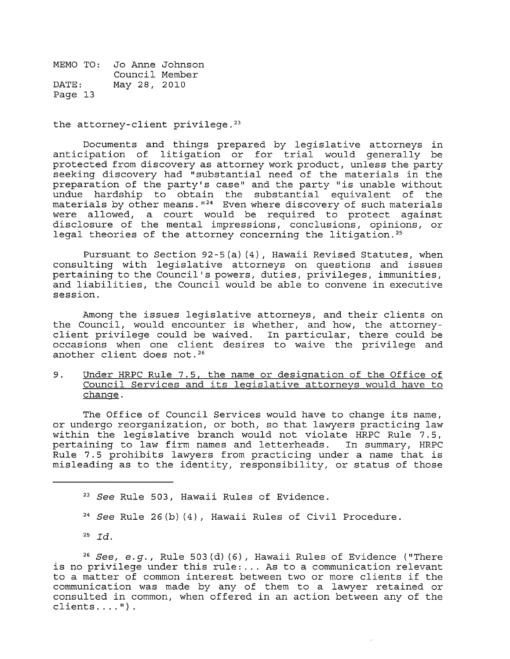the attorney-client privilege.<sup>23</sup>

Documents and things prepared by legislative attorneys in anticipation of litigation or for trial would generally be protected from discovery as attorney work product, unless the party seeking discovery had "substantial need of the materials in the preparation of the party's case" and the party "is unable without undue hardship to obtain the substantial equivalent of the materials by other means.  $124$  Even where discovery of such materials were allowed, a court would be required to protect against disclosure of the mental impressions, conclusions, opinions, or legal theories of the attorney concerning the litigation.<sup>25</sup>

Pursuant to Section 92-5(a)(4), Hawaii Revised Statutes, when consulting with legislative attorneys on questions and issues pertaining to the Council's powers, duties, privileges, immunities, and liabilities, the Council would be able to convene in executive session.

Among the issues legislative attorneys, and their clients on the Council, would encounter is whether, and how, the attorneyclient privilege could be waived. In particular, there could be occasions when one client desires to waive the privilege and another client does not. 26

9. Under HRPC Rule 7.5, the name or designation of the Office of Council Services and its legislative attorneys would have to change.

The Office of Council Services would have to change its name, or undergo reorganization, or both, so that lawyers practicing law within the legislative branch would not violate HRPC Rule 7.5,<br>pertaining to law firm names and letterheads. In summary, HRPC pertaining to law firm names and letterheads. Rule 7.5 prohibits lawyers from practicing under a name that is misleading as to the identity, responsibility, or status of those

<sup>23</sup> See Rule 503, Hawaii Rules of Evidence.

- <sup>24</sup> See Rule 26(b)(4), Hawaii Rules of Civil Procedure.
- $^{25}$  *Id.*

<sup>26</sup> See, e.g., Rule 503(d)(6), Hawaii Rules of Evidence ("There is no privilege under this rule: ... As to a communication relevant to a matter of common interest between two or more clients if the communication was made by any of them to a lawyer retained or consulted in common, when offered in an action between any of the  $clients... "$ ).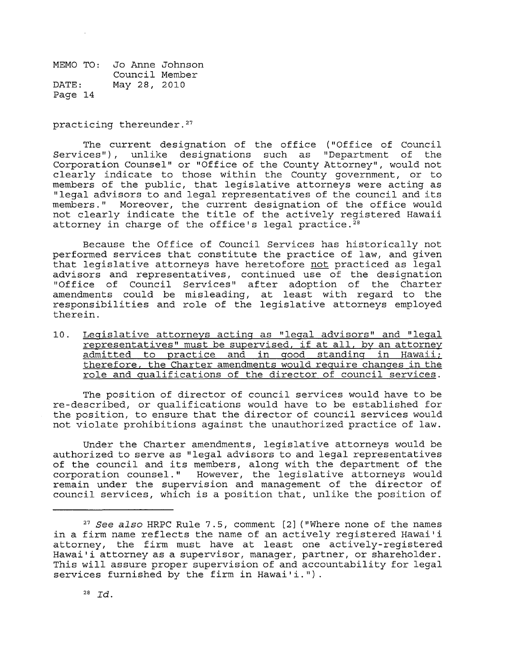practicing thereunder. 27

The current designation of the office ("Office of Council Services"), unlike designations such as "Department of the Corporation Counsel" or "Office of the County Attorney", would not clearly indicate to those within the County government, or to members of the public, that legislative attorneys were acting as "legal advisors to and legal representatives of the council and its members." Moreover, the current designation of the office would not clearly indicate the title of the actively registered Hawaii attorney in charge of the office's legal practice.<sup>28</sup>

Because the Office of Council Services has historically not performed services that constitute the practice of law, and given that legislative attorneys have heretofore not practiced as legal advisors and representatives, continued use of the designation "Office of Council Services" after adoption of the Charter amendments could be misleading, at least with regard to the responsibilities and role of the legislative attorneys employed therein.

10. Legislative attorneys acting as "legal advisors" and "legal representatives" must be supervised, if at all, by an attorney admitted to practice and in good standing in Hawaii; therefore, the Charter amendments would require changes in the role and qualifications of the director of council services.

The position of director of council services would have to be re-described, or qualifications would have to be established for the position, to ensure that the director of council services would not violate prohibitions against the unauthorized practice of law.

Under the Charter amendments, legislative attorneys would be authorized to serve as "legal advisors to and legal representatives of the council and its members, along with the department of the corporation counsel." However, the legislative attorneys would remain under the supervision and management of the director of council services, which is a position that, unlike the position of

<sup>27</sup>*See also* HRPC Rule 7.5, comment [2] ("Where none of the names in a firm name reflects the name of an actively registered Hawai'i attorney, the firm must have at least one actively-registered Hawai'i attorney as a supervisor, manager, partner, or shareholder. This will assure proper supervision of and accountability for legal services furnished by the firm in Hawai'i.").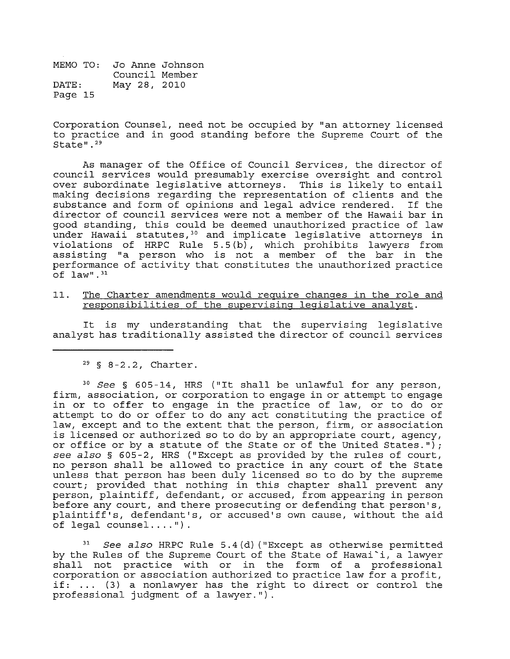Corporation Counsel, need not be occupied by "an attorney licensed to practice and in good standing before the Supreme Court of the State".<sup>29</sup>

As manager of the Office of Council Services, the director of council services would presumably exercise oversight and control over subordinate legislative attorneys. This is likely to entail making decisions regarding the representation of clients and the substance and form of opinions and legal advice rendered. director of council services were not a member of the Hawaii bar in good standing, this could be deemed unauthorized practice of law under Hawaii statutes,<sup>30</sup> and implicate legislative attorneys in violations of HRPC Rule 5.5 (b), which prohibits lawyers from assisting "a person who is not a member of the bar in the performance of activity that constitutes the unauthorized practice  $\overline{C}$ f law".<sup>31</sup>

11. The Charter amendments would require changes in the role and responsibilities of the supervising legislative analyst.

It is my understanding that the supervising legislative analyst has traditionally assisted the director of council services

 $29 \,$  § 8-2.2, Charter.

*<sup>30</sup>*See § 605-14, HRS ("It shall be unlawful for any person, firm, association, or corporation to engage in or attempt to engage in or to offer to engage in the practice of law, or to do or attempt to do or offer to do any act constituting the practice of law, except and to the extent that the person, firm, or association is licensed or authorized so to do by an appropriate court, agency, or office or by a statute of the State or of the United States."); see also § 605-2, HRS ("Except as provided by the rules of court, no person shall be allowed to practice in any court of the State unless that person has been duly licensed so to do by the supreme court; provided that nothing in this chapter shall prevent any person, plaintiff, defendant, or accused, from appearing in person before any court, and there prosecuting or defending that person's, plaintiff's, defendant's, or accused's own cause, without the aid of legal counsel .... ").

*See also* HRPC Rule 5.4(d) ("Except as otherwise permitted by the Rules of the Supreme Court of the State of Hawai'i, a lawyer shall not practice with or in the form of a professional corporation or association authorized to practice law for a profit, if: ... (3) a nonlawyer has the right to direct or control the professional judgment of a lawyer.").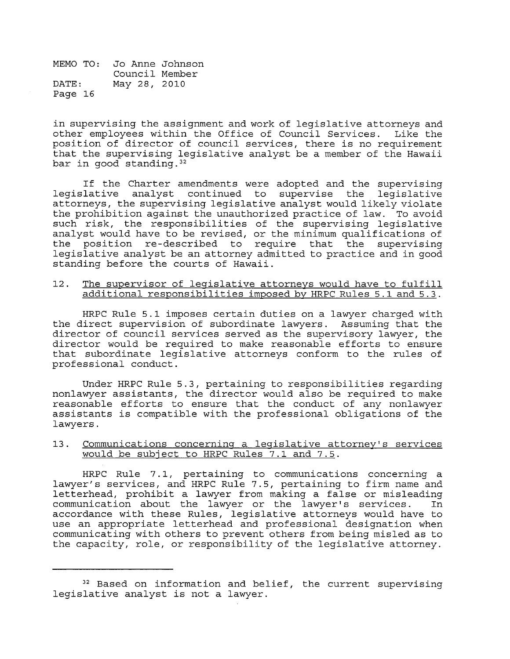in supervising the assignment and work of legislative attorneys and other employees within the Office of Council Services. Like the position of director of council services, there is no requirement that the supervising legislative analyst be a member of the Hawaii bar in good standing. 32

If the Charter amendments were adopted and the supervising<br>lative analyst continued to supervise the legislative legislative analyst continued to supervise attorneys, the supervising legislative analyst would likely violate the prohibition against the unauthorized practice of law. To avoid such risk, the responsibilities of the supervising legislative analyst would have to be revised, or the minimum qualifications of the position re-described to require that the supervising legislative analyst be an attorney admitted to practice and in good standing before the courts of Hawaii.

#### 12. The supervisor of legislative attorneys would have to fulfill additional responsibilities imposed by HRPC Rules 5.1 and 5.3.

HRPC Rule 5.1 imposes certain duties on a lawyer charged with the direct supervision of subordinate lawyers. Assuming that the director of council services served as the supervisory lawyer, the director would be required to make reasonable efforts to ensure that subordinate legislative attorneys conform to the rules of professional conduct.

Under HRPC Rule 5.3, pertaining to responsibilities regarding nonlawyer assistants, the director would also be required to make reasonable efforts to ensure that the conduct of any nonlawyer assistants is compatible with the professional obligations of the lawyers.

#### 13. Communications concerninq a legislative attorney's services would be subject to HRPC Rules 7.1 and 7.5.

HRPC Rule 7.1, pertaining to communications concerning a lawyer's services, and HRPC Rule 7.5, pertaining to firm name and letterhead, prohibit a lawyer from making a false or misleading communication about the lawyer or the lawyer's services. In accordance with these Rules, legislative attorneys would have to use an appropriate letterhead and professional designation when communicating with others to prevent others from being misled as to the capacity, role, or responsibility of the legislative attorney.

<sup>&</sup>lt;sup>32</sup> Based on information and belief, the current supervising legislative analyst is not a lawyer.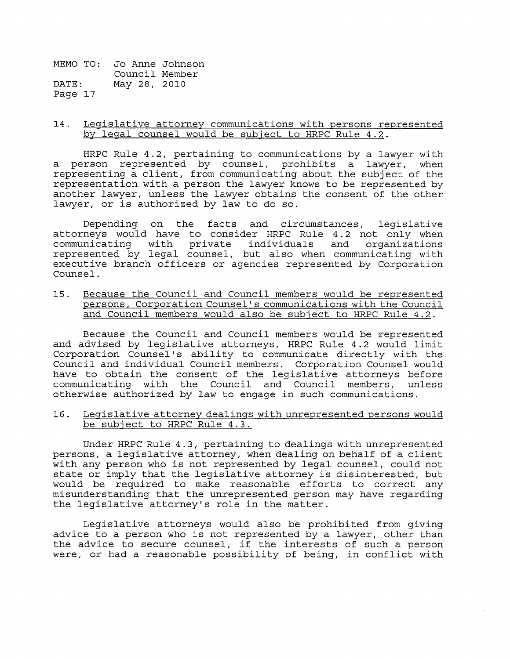#### 14. Legislative attorney communications with persons represented by legal counsel would be subject to HRPC Rule 4.2.

HRPC Rule 4.2, pertaining to communications by a lawyer with a person represented by counsel, prohibits a lawyer, when representing a client, from communicating about the subject of the representation with a person the lawyer knows to be represented by another lawyer, unless the lawyer obtains the consent of the other lawyer, or is authorized by law to do so.

Depending on the facts and circumstances, legislative attorneys would have to consider HRPC Rule 4.2 not only when communicating with private individuals and organizations represented by legal counsel, but also when communicating with executive branch officers or agencies represented by Corporation Counsel.

15. Because the Council and Council members would be represented persons, Corporation Counsel's communications with the Council and Council members would also be subject to HRPC Rule 4.2.

Because the Council and Council members would be represented and advised by legislative attorneys, HRPC Rule 4.2 would limit Corporation Counsel's ability to communicate directly with the Council and individual Council members. Corporation Counsel would have to obtain the consent of the legislative attorneys before<br>communicating with the Council and Council members, unless communicating with the Council and Council members, otherwise authorized by law to engage in such communications.

16. Legislative attorney dealings with unrepresented persons would be subject to HRPC Rule 4.3.

Under HRPC Rule 4.3, pertaining to dealings with unrepresented persons, a legislative attorney, when dealing on behalf of a client with any person who is not represented by legal counsel, could not state or imply that the legislative attorney is disinterested, but would be required to make reasonable efforts to correct any misunderstanding that the unrepresented person may have regarding the legislative attorney's role in the matter.

Legislative attorneys would also be prohibited from giving advice to a person who is not represented by a lawyer, other than the advice to secure counsel, if the interests of such a person were, or had a reasonable possibility of being, in conflict with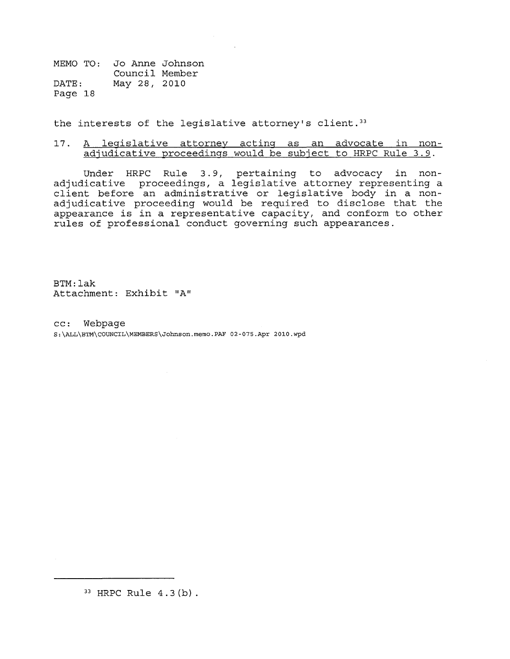the interests of the legislative attorney's client.<sup>33</sup>

#### 17. A legislative attorney acting as an advocate in nonadjudicative proceedings would be subject to HRPC Rule 3.9.

Under HRPC Rule 3.9, pertaining to advocacy in nonadjudicative proceedings, a legislative attorney representing a client before an administrative or legislative body in a nonadjudicative proceeding would be required to disclose that the appearance is in a representative capacity, and conform to other rules of professional conduct governing such appearances.

BTM:lak Attachment: Exhibit "A"

cc: Webpage S:\ALL\BTM\COUNCIL\MEMBERS\Johnson.memo.PAF 02-075.Apr 2010.wpd

33 HRPC Rule 4.3 (b) .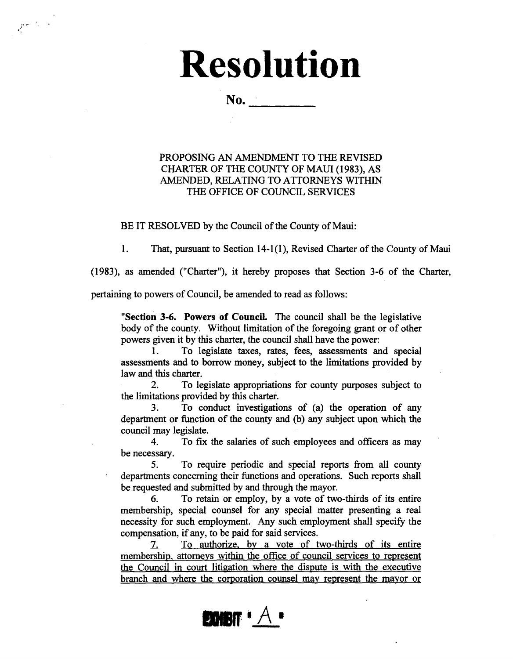# **Resolution**  No .. ------

 $r \sim$ 

#### PROPOSING AN AMENDMENT TO THE REVISED CHARTER OF THE COUNTY OF MAUl (1983), AS AMENDED, RELATING TO ATTORNEYS WITHIN THE OFFICE OF COUNCIL SERVICES

BE IT RESOLVED by the Council of the County of Maui:

1. That, pursuant to Section 14-1 (1), Revised Charter of the County of Maui

(1983), as amended ("Charter"), it hereby proposes that Section 3-6 of the Charter,

pertaining to powers of Council, be amended to read as follows:

"Section 3-6. Powers of Council. The council shall be the legislative body of the county. Without limitation of the foregoing grant or of other powers given it by this charter, the council shall have the power:

1. To legislate taxes, rates, fees, assessments and special assessments and to borrow money, subject to the limitations provided by law and this charter.

2. To legislate appropriations for county purposes subject to the limitations provided by this charter.

3. To conduct investigations of (a) the operation of any department or function of the county and (b) any subject upon which the council may legislate.

4. To fix the salaries of such employees and officers as may be necessary.

5. To require periodic and special reports from all county departments concerning their functions and operations. Such reports shall be requested and submitted by and through the mayor.

6. To retain or employ, by a vote of two-thirds of its entire membership, special counsel for any special matter presenting a real necessity for such employment. Any such employment shall specify the compensation, if any, to be paid for said services.

7. To authorize. by a vote of two-thirds of its entire membership. attorneys within the office of council services to represent the Council in court litigation where the dispute is with the executive branch and where the corporation counsel may represent the mayor or

# **EXHBIT**  $A$   $\bullet$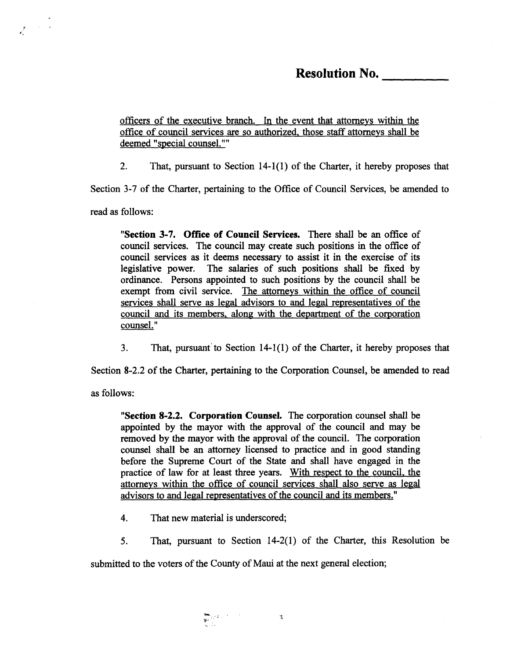### **Resolution No.**

officers of the executive branch. In the event that attorneys within the office of council services are so authorized. those staff attorneys shall be deemed "special counsel.""

2. That, pursuant to Section 14-1(1) of the Charter, it hereby proposes that

Section 3-7 of the Charter, pertaining to the Office of Council Services, be amended to

read as follows:

 $\sim 10^{-10}$  k

**"Section 3-7. Office of Council Services.** There shall be an office of council services. The council may create such positions in the office of council services as it deems necessary to assist it in the exercise of its legislative power. The salaries of such positions shall be fixed by ordinance. Persons appointed to such positions by the council shall be exempt from civil service. The attorneys within the office of council services shall serve as legal advisors to and legal representatives of the council and its members. along with the department of the corporation counsel."

3. That, pursuant'to Section 14-1(1) of the Charter, it hereby proposes that

Section 8-2.2 of the Charter, pertaining to the Corporation Counsel, be amended to read

as follows:

**"Section 8-2.2. Corporation Counsel.** The corporation counsel shall be appointed by the mayor with the approval of the council and may be removed by the mayor with the approval of the council. The corporation counsel shall be an attorney licensed to practice and in good standing before the Supreme Court of the State and shall have engaged in the practice of law for at least three years. With respect to the council. the attorneys within the office of council services shall also serve as legal advisors to and legal representatives of the council and its members."

4. That new material is underscored;

5. That, pursuant to Section 14-2(1) of the Charter, this Resolution be

submitted to the voters of the County of Maui at the next general election;

**,...** .:. 1'· ... '.~ " .'